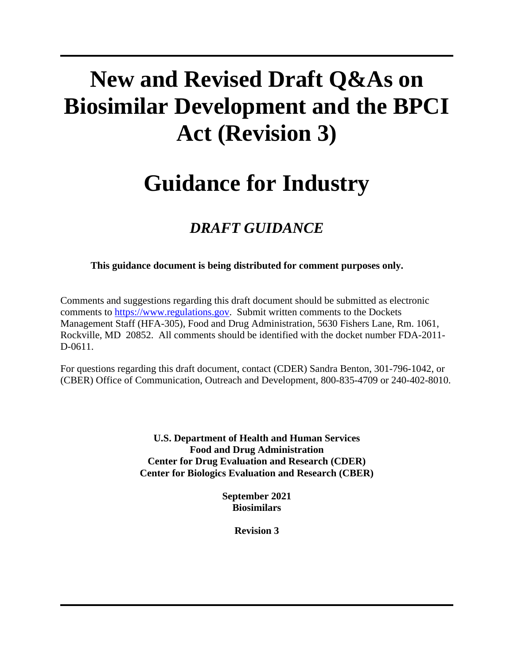# **New and Revised Draft Q&As on Biosimilar Development and the BPCI Act (Revision 3)**

## **Guidance for Industry**

## *DRAFT GUIDANCE*

**This guidance document is being distributed for comment purposes only.**

Comments and suggestions regarding this draft document should be submitted as electronic comments to [https://www.regulations.gov.](https://www.regulations.gov/) Submit written comments to the Dockets Management Staff (HFA-305), Food and Drug Administration, 5630 Fishers Lane, Rm. 1061, Rockville, MD 20852. All comments should be identified with the docket number FDA-2011- D-0611.

For questions regarding this draft document, contact (CDER) Sandra Benton, 301-796-1042, or (CBER) Office of Communication, Outreach and Development, 800-835-4709 or 240-402-8010.

> **U.S. Department of Health and Human Services Food and Drug Administration Center for Drug Evaluation and Research (CDER) Center for Biologics Evaluation and Research (CBER)**

> > **September 2021 Biosimilars**

> > > **Revision 3**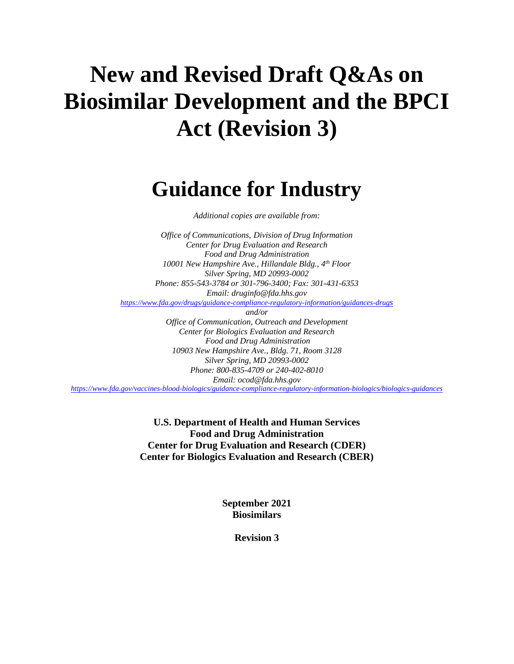# **New and Revised Draft Q&As on Biosimilar Development and the BPCI Act (Revision 3)**

## **Guidance for Industry**

*Additional copies are available from:*

*Office of Communications, Division of Drug Information Center for Drug Evaluation and Research Food and Drug Administration 10001 New Hampshire Ave., Hillandale Bldg., 4th Floor Silver Spring, MD 20993-0002 Phone: 855-543-3784 or 301-796-3400; Fax: 301-431-6353 Email: druginfo@fda.hhs.gov <https://www.fda.gov/drugs/guidance-compliance-regulatory-information/guidances-drugs> and/or Office of Communication, Outreach and Development Center for Biologics Evaluation and Research Food and Drug Administration*

*10903 New Hampshire Ave., Bldg. 71, Room 3128 Silver Spring, MD 20993-0002 Phone: 800-835-4709 or 240-402-8010 Email: ocod@fda.hhs.gov*

*<https://www.fda.gov/vaccines-blood-biologics/guidance-compliance-regulatory-information-biologics/biologics-guidances>*

**U.S. Department of Health and Human Services Food and Drug Administration Center for Drug Evaluation and Research (CDER) Center for Biologics Evaluation and Research (CBER)**

> **September 2021 Biosimilars**

> > **Revision 3**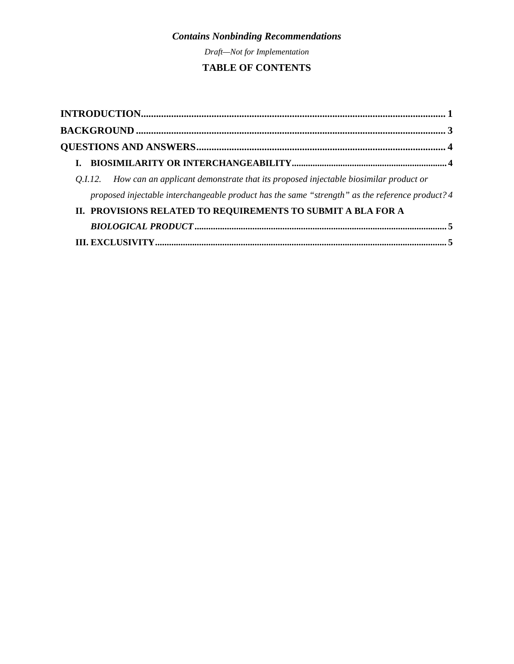*Draft—Not for Implementation*

#### **TABLE OF CONTENTS**

| Q.I.12. How can an applicant demonstrate that its proposed injectable biosimilar product or     |  |
|-------------------------------------------------------------------------------------------------|--|
| proposed injectable interchangeable product has the same "strength" as the reference product? 4 |  |
| II. PROVISIONS RELATED TO REQUIREMENTS TO SUBMIT A BLA FOR A                                    |  |
|                                                                                                 |  |
|                                                                                                 |  |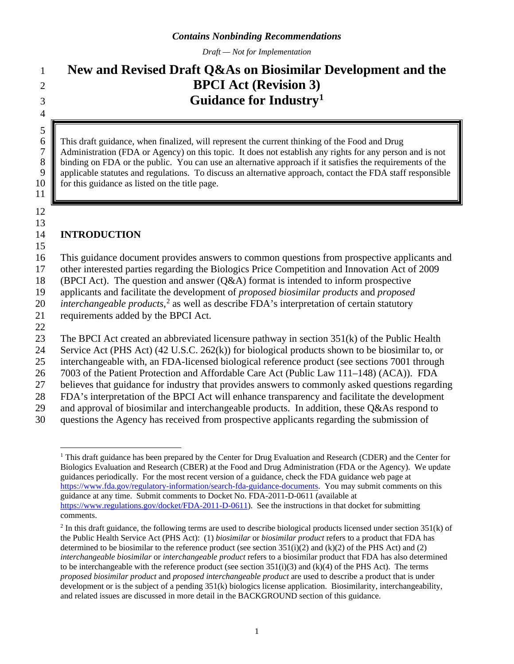*Draft — Not for Implementation*

### 1 **New and Revised Draft Q&As on Biosimilar Development and the**  2 **BPCI Act (Revision 3) Guidance for Industry[1](#page-3-1)** <sup>3</sup>

6 This draft guidance, when finalized, will represent the current thinking of the Food and Drug<br>
7 Administration (FDA or Agency) on this topic. It does not establish any rights for any person 7 Administration (FDA or Agency) on this topic. It does not establish any rights for any person and is not binding on FDA or the public. You can use an alternative approach if it satisfies the requirements of the 8 binding on FDA or the public. You can use an alternative approach if it satisfies the requirements of the applicable statutes and regulations. To discuss an alternative approach, contact the FDA staff responsible applicable statutes and regulations. To discuss an alternative approach, contact the FDA staff responsible 10 for this guidance as listed on the title page.

<span id="page-3-0"></span>14 **INTRODUCTION**

15

11

12 13

4

 $\frac{5}{6}$ 

16 This guidance document provides answers to common questions from prospective applicants and

17 other interested parties regarding the Biologics Price Competition and Innovation Act of 2009

18 (BPCI Act). The question and answer (Q&A) format is intended to inform prospective

19 applicants and facilitate the development of *proposed biosimilar products* and *proposed* 

[2](#page-3-2)0 *interchangeable products*,<sup>2</sup> as well as describe FDA's interpretation of certain statutory

21 requirements added by the BPCI Act. 22

23 The BPCI Act created an abbreviated licensure pathway in section 351(k) of the Public Health

24 Service Act (PHS Act) (42 U.S.C. 262(k)) for biological products shown to be biosimilar to, or

25 interchangeable with, an FDA-licensed biological reference product (see sections 7001 through

26 7003 of the Patient Protection and Affordable Care Act (Public Law 111–148) (ACA)). FDA

- 27 believes that guidance for industry that provides answers to commonly asked questions regarding
- 28 FDA's interpretation of the BPCI Act will enhance transparency and facilitate the development
- 29 and approval of biosimilar and interchangeable products. In addition, these  $Q\&$ As respond to
- <span id="page-3-1"></span>30 questions the Agency has received from prospective applicants regarding the submission of

<sup>&</sup>lt;sup>1</sup> This draft guidance has been prepared by the Center for Drug Evaluation and Research (CDER) and the Center for Biologics Evaluation and Research (CBER) at the Food and Drug Administration (FDA or the Agency). We update guidances periodically. For the most recent version of a guidance, check the FDA guidance web page at [https://www.fda.gov/regulatory-information/search-fda-guidance-documents.](https://www.fda.gov/regulatory-information/search-fda-guidance-documents) You may submit comments on this guidance at any time. Submit comments to Docket No. FDA-2011-D-0611 (available at [https://www.regulations.gov/docket/FDA-2011-D-0611\)](https://www.regulations.gov/docket/FDA-2011-D-0611). See the instructions in that docket for submitting comments.

<span id="page-3-2"></span> $2$  In this draft guidance, the following terms are used to describe biological products licensed under section 351(k) of the Public Health Service Act (PHS Act): (1) *biosimilar* or *biosimilar product* refers to a product that FDA has determined to be biosimilar to the reference product (see section  $351(i)(2)$  and  $(k)(2)$  of the PHS Act) and (2) *interchangeable biosimilar* or *interchangeable product* refers to a biosimilar product that FDA has also determined to be interchangeable with the reference product (see section  $351(i)(3)$  and (k)(4) of the PHS Act). The terms *proposed biosimilar product* and *proposed interchangeable product* are used to describe a product that is under development or is the subject of a pending 351(k) biologics license application. Biosimilarity, interchangeability, and related issues are discussed in more detail in th[e BACKGROUND](#page-5-0) section of this guidance.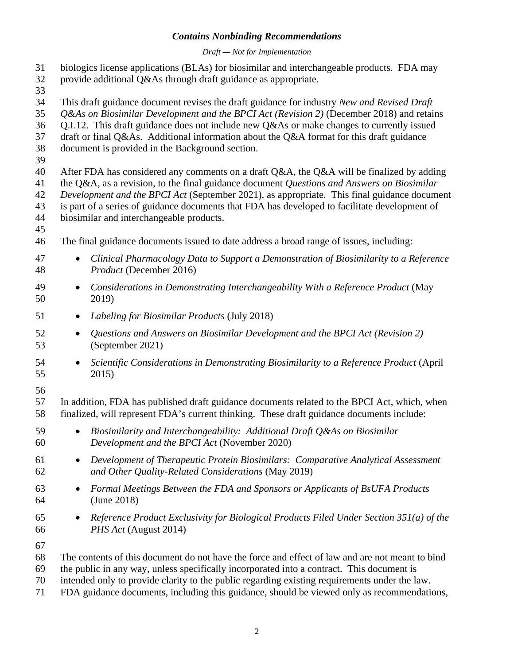#### *Draft — Not for Implementation*

- biologics license applications (BLAs) for biosimilar and interchangeable products. FDA may
- provide additional Q&As through draft guidance as appropriate.
- 
- This draft guidance document revises the draft guidance for industry *New and Revised Draft*
- *Q&As on Biosimilar Development and the BPCI Act (Revision 2)* (December 2018) and retains
- Q.I.12. This draft guidance does not include new Q&As or make changes to currently issued
- draft or final Q&As. Additional information about the Q&A format for this draft guidance
- document is provided in the Background section.
- 
- After FDA has considered any comments on a draft Q&A, the Q&A will be finalized by adding
- the Q&A, as a revision, to the final guidance document *Questions and Answers on Biosimilar Development and the BPCI Act* (September 2021), as appropriate*.* This final guidance document
- is part of a series of guidance documents that FDA has developed to facilitate development of
- biosimilar and interchangeable products.
- 
- The final guidance documents issued to date address a broad range of issues, including:
- *Clinical Pharmacology Data to Support a Demonstration of Biosimilarity to a Reference Product* (December 2016)
- *Considerations in Demonstrating Interchangeability With a Reference Product* (May 2019)
- *Labeling for Biosimilar Products* (July 2018)
- *Questions and Answers on Biosimilar Development and the BPCI Act (Revision 2)* (September 2021)
- *Scientific Considerations in Demonstrating Biosimilarity to a Reference Product* (April 2015)
- 
- In addition, FDA has published draft guidance documents related to the BPCI Act, which, when finalized, will represent FDA's current thinking. These draft guidance documents include:
- *Biosimilarity and Interchangeability: Additional Draft Q&As on Biosimilar Development and the BPCI Act* (November 2020)
- *Development of Therapeutic Protein Biosimilars: Comparative Analytical Assessment and Other Quality-Related Considerations* (May 2019)
- *Formal Meetings Between the FDA and Sponsors or Applicants of BsUFA Products* (June 2018)
- *Reference Product Exclusivity for Biological Products Filed Under Section 351(a) of the PHS Act* (August 2014)
- 
- The contents of this document do not have the force and effect of law and are not meant to bind
- the public in any way, unless specifically incorporated into a contract. This document is
- intended only to provide clarity to the public regarding existing requirements under the law.
- FDA guidance documents, including this guidance, should be viewed only as recommendations,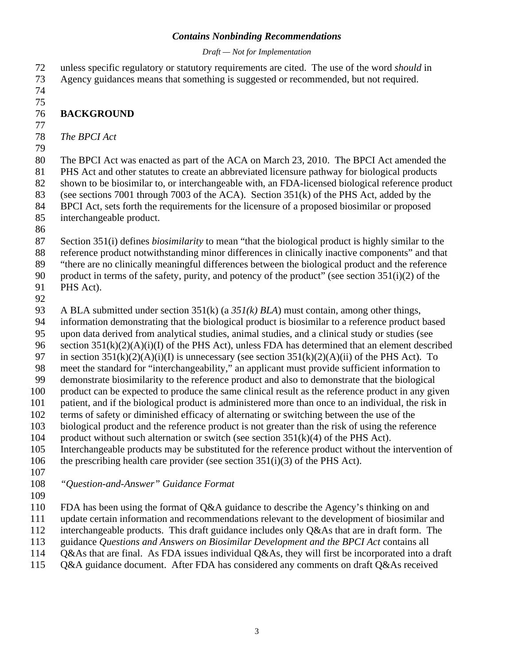#### *Draft — Not for Implementation*

 unless specific regulatory or statutory requirements are cited. The use of the word *should* in Agency guidances means that something is suggested or recommended, but not required.

- <span id="page-5-0"></span> **BACKGROUND** *The BPCI Act* The BPCI Act was enacted as part of the ACA on March 23, 2010. The BPCI Act amended the PHS Act and other statutes to create an abbreviated licensure pathway for biological products shown to be biosimilar to, or interchangeable with, an FDA-licensed biological reference product (see sections 7001 through 7003 of the ACA). Section 351(k) of the PHS Act, added by the BPCI Act, sets forth the requirements for the licensure of a proposed biosimilar or proposed interchangeable product. Section 351(i) defines *biosimilarity* to mean "that the biological product is highly similar to the reference product notwithstanding minor differences in clinically inactive components" and that "there are no clinically meaningful differences between the biological product and the reference product in terms of the safety, purity, and potency of the product" (see section 351(i)(2) of the PHS Act). A BLA submitted under section 351(k) (a *351(k) BLA*) must contain, among other things, information demonstrating that the biological product is biosimilar to a reference product based upon data derived from analytical studies, animal studies, and a clinical study or studies (see section 351(k)(2)(A)(i)(I) of the PHS Act), unless FDA has determined that an element described 97 in section  $351(k)(2)(A)(i)(I)$  is unnecessary (see section  $351(k)(2)(A)(ii)$  of the PHS Act). To meet the standard for "interchangeability," an applicant must provide sufficient information to demonstrate biosimilarity to the reference product and also to demonstrate that the biological product can be expected to produce the same clinical result as the reference product in any given patient, and if the biological product is administered more than once to an individual, the risk in terms of safety or diminished efficacy of alternating or switching between the use of the biological product and the reference product is not greater than the risk of using the reference 104 product without such alternation or switch (see section  $351(k)(4)$  of the PHS Act). Interchangeable products may be substituted for the reference product without the intervention of the prescribing health care provider (see section 351(i)(3) of the PHS Act). *"Question-and-Answer" Guidance Format* FDA has been using the format of Q&A guidance to describe the Agency's thinking on and update certain information and recommendations relevant to the development of biosimilar and interchangeable products. This draft guidance includes only Q&As that are in draft form. The guidance *Questions and Answers on Biosimilar Development and the BPCI Act* contains all Q&As that are final. As FDA issues individual Q&As, they will first be incorporated into a draft
- Q&A guidance document. After FDA has considered any comments on draft Q&As received
-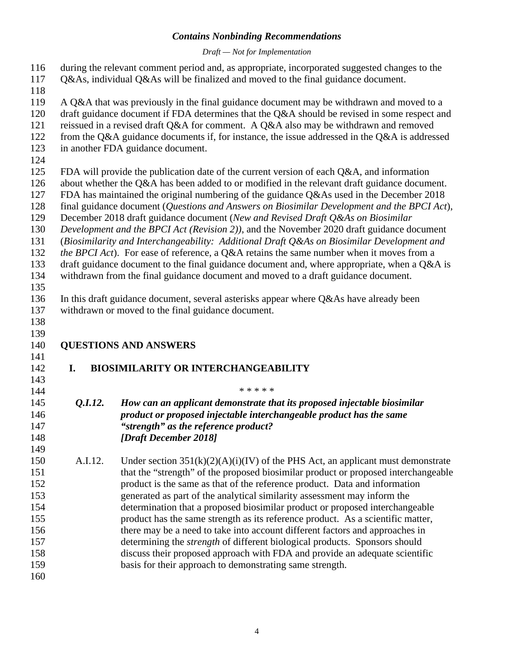#### *Draft — Not for Implementation*

 during the relevant comment period and, as appropriate, incorporated suggested changes to the Q&As, individual Q&As will be finalized and moved to the final guidance document.

A Q&A that was previously in the final guidance document may be withdrawn and moved to a

- draft guidance document if FDA determines that the Q&A should be revised in some respect and
- reissued in a revised draft Q&A for comment. A Q&A also may be withdrawn and removed
- from the Q&A guidance documents if, for instance, the issue addressed in the Q&A is addressed
- in another FDA guidance document.
- 
- FDA will provide the publication date of the current version of each Q&A, and information
- about whether the Q&A has been added to or modified in the relevant draft guidance document.
- FDA has maintained the original numbering of the guidance Q&As used in the December 2018
- final guidance document (*Questions and Answers on Biosimilar Development and the BPCI Act*),
- December 2018 draft guidance document (*New and Revised Draft Q&As on Biosimilar*
- *Development and the BPCI Act (Revision 2))*, and the November 2020 draft guidance document
- (*Biosimilarity and Interchangeability: Additional Draft Q&As on Biosimilar Development and*
- *the BPCI Act*). For ease of reference, a Q&A retains the same number when it moves from a
- 133 draft guidance document to the final guidance document and, where appropriate, when a O&A is
- withdrawn from the final guidance document and moved to a draft guidance document.
- In this draft guidance document, several asterisks appear where Q&As have already been
- withdrawn or moved to the final guidance document.
- 

- **QUESTIONS AND ANSWERS**
- **I. BIOSIMILARITY OR INTERCHANGEABILITY**
- 

- <span id="page-6-1"></span><span id="page-6-0"></span>
- 
- \* \* \* \* \*
- <span id="page-6-2"></span> *Q.I.12. How can an applicant demonstrate that its proposed injectable biosimilar product or proposed injectable interchangeable product has the same "strength" as the reference product? [Draft December 2018]*
- A.I.12. Under section 351(k)(2)(A)(i)(IV) of the PHS Act, an applicant must demonstrate that the "strength" of the proposed biosimilar product or proposed interchangeable product is the same as that of the reference product. Data and information generated as part of the analytical similarity assessment may inform the determination that a proposed biosimilar product or proposed interchangeable product has the same strength as its reference product. As a scientific matter, there may be a need to take into account different factors and approaches in determining the *strength* of different biological products. Sponsors should discuss their proposed approach with FDA and provide an adequate scientific basis for their approach to demonstrating same strength.